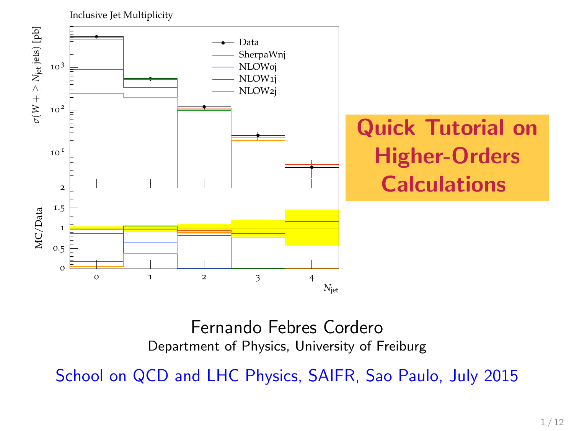

### Fernando Febres Cordero Department of Physics, University of Freiburg

School on QCD and LHC Physics, SAIFR, Sao Paulo, July 2015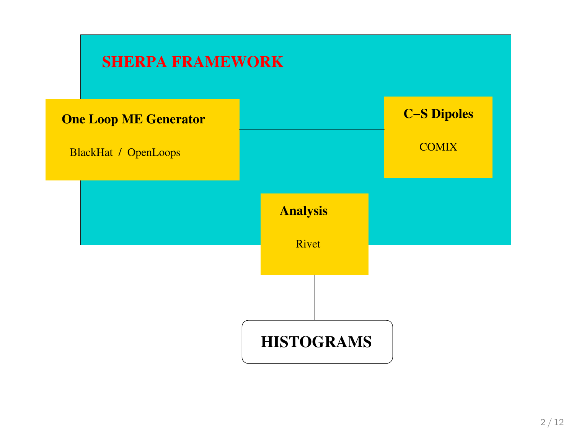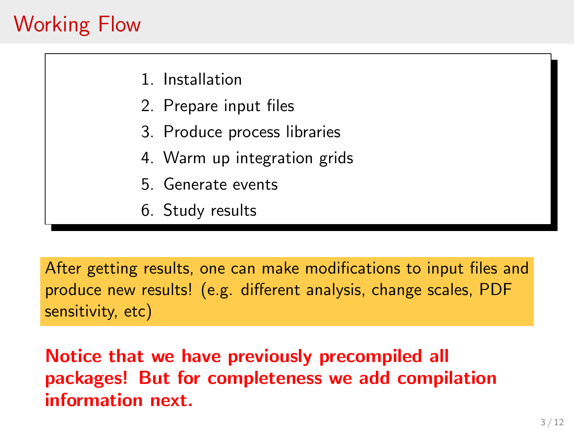## Working Flow

- 1. Installation
- 2. Prepare input files
- 3. Produce process libraries
- 4. Warm up integration grids
- 5. Generate events
- 6. Study results

After getting results, one can make modifications to input files and produce new results! (e.g. different analysis, change scales, PDF sensitivity, etc)

Notice that we have previously precompiled all packages! But for completeness we add compilation information next.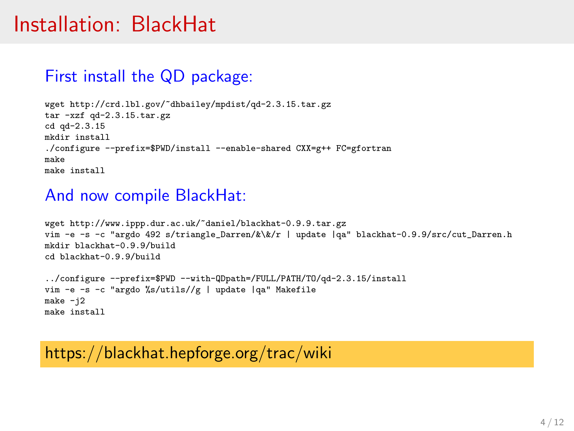### Installation: BlackHat

#### First install the QD package:

```
wget http://crd.lbl.gov/~dhbailey/mpdist/qd-2.3.15.tar.gz
tar -xzf qd-2.3.15.tar.gz
cd qd-2.3.15
mkdir install
./configure --prefix=$PWD/install --enable-shared CXX=g++ FC=ofortranmake
make install
```
#### And now compile BlackHat:

```
wget http://www.ippp.dur.ac.uk/~daniel/blackhat-0.9.9.tar.gz
vim -e -s -c "argdo 492 s/triangle Darren/&\&/r | update |qa" blackhat-0.9.9/src/cut Darren.h
mkdir blackhat-0.9.9/build
cd blackhat-0.9.9/build
../configure --prefix=$PWD --with-QDpath=/FULL/PATH/TO/qd-2.3.15/install
vim -e -s -c "argdo %s/utils//g | update |qa" Makefile
```

```
make -i2make install
```
### https://blackhat.hepforge.org/trac/wiki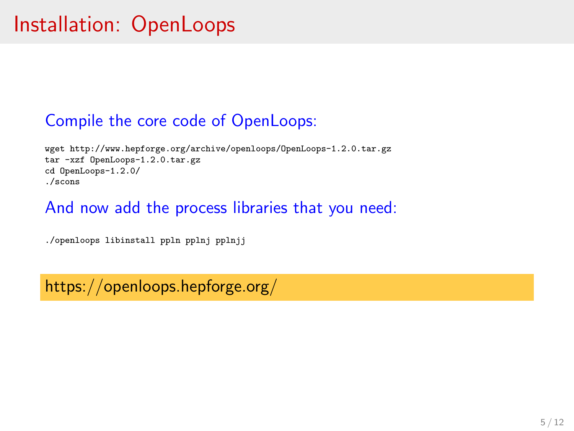### Compile the core code of OpenLoops:

wget http://www.hepforge.org/archive/openloops/OpenLoops-1.2.0.tar.gz tar -xzf OpenLoops-1.2.0.tar.gz cd OpenLoops-1.2.0/ ./scons

#### And now add the process libraries that you need:

./openloops libinstall ppln pplnj pplnjj

https://openloops.hepforge.org/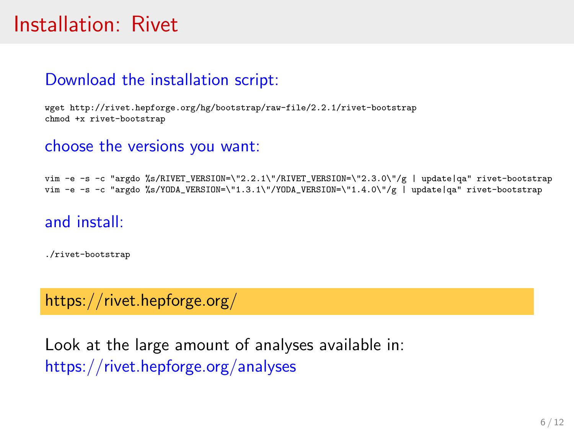## Installation: Rivet

### Download the installation script:

wget http://rivet.hepforge.org/hg/bootstrap/raw-file/2.2.1/rivet-bootstrap chmod +x rivet-bootstrap

#### choose the versions you want:

vim -e -s -c "argdo %s/RIVET\_VERSION=\"2.2.1\"/RIVET\_VERSION=\"2.3.0\"/g | update|qa" rivet-bootstrap vim -e -s -c "argdo %s/YODA\_VERSION=\"1.3.1\"/YODA\_VERSION=\"1.4.0\"/g | update|qa" rivet-bootstrap

#### and install:

./rivet-bootstrap

#### https://rivet.hepforge.org/

Look at the large amount of analyses available in: https://rivet.hepforge.org/analyses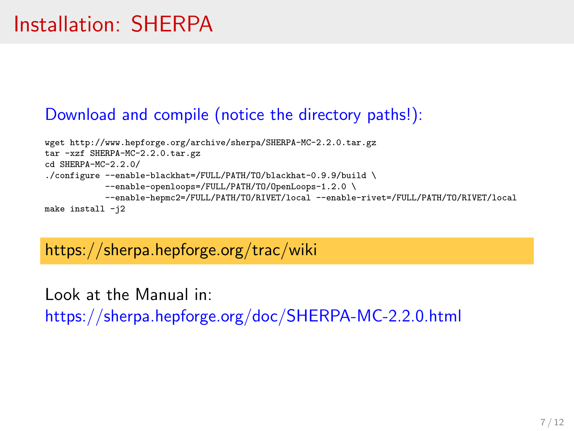### Download and compile (notice the directory paths!):

```
wget http://www.hepforge.org/archive/sherpa/SHERPA-MC-2.2.0.tar.gz
tar -xzf SHERPA-MC-2.2.0.tar.gz
cd SHERPA-MC-2.2.0/
./configure --enable-blackhat=/FULL/PATH/TO/blackhat-0.9.9/build \
            --enable-openloops=/FULL/PATH/TO/OpenLoops-1.2.0 \
           --enable-hepmc2=/FULL/PATH/TO/RIVET/local --enable-rivet=/FULL/PATH/TO/RIVET/local
make install -j2
```
### https://sherpa.hepforge.org/trac/wiki

Look at the Manual in: https://sherpa.hepforge.org/doc/SHERPA-MC-2.2.0.html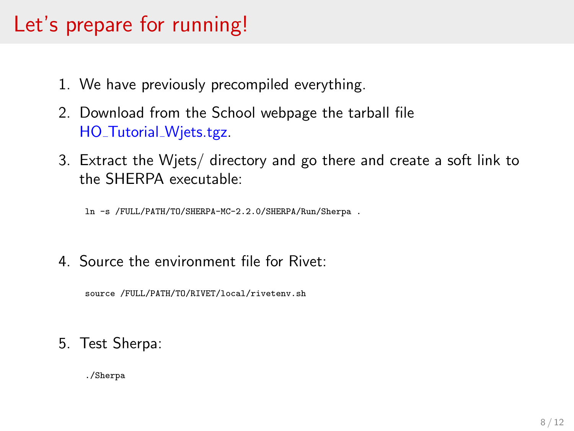## Let's prepare for running!

- 1. We have previously precompiled everything.
- 2. Download from the School webpage the tarball file HO\_Tutorial\_Wiets.tgz.
- 3. Extract the Wjets/ directory and go there and create a soft link to the SHERPA executable:

ln -s /FULL/PATH/TO/SHERPA-MC-2.2.0/SHERPA/Run/Sherpa .

4. Source the environment file for Rivet:

source /FULL/PATH/TO/RIVET/local/rivetenv.sh

5. Test Sherpa:

./Sherpa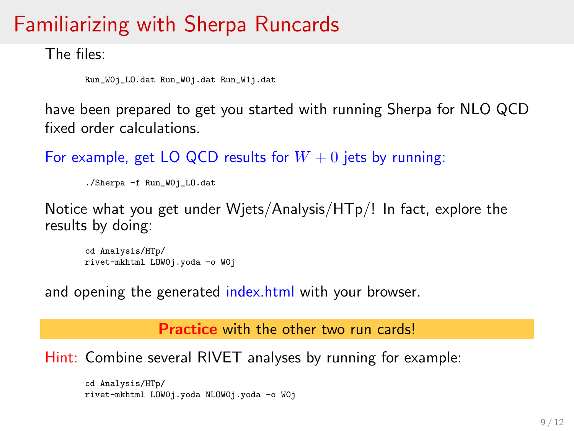## Familiarizing with Sherpa Runcards

The files:

```
Run_W0j_LO.dat Run_W0j.dat Run_W1j.dat
```
have been prepared to get you started with running Sherpa for NLO QCD fixed order calculations.

For example, get LO QCD results for  $W + 0$  jets by running:

```
./Sherpa -f Run_W0j_LO.dat
```
Notice what you get under Wjets/Analysis/HTp/! In fact, explore the results by doing:

```
cd Analysis/HTp/
rivet-mkhtml LOW0j.yoda -o W0j
```
and opening the generated index.html with your browser.

Practice with the other two run cards!

Hint: Combine several RIVET analyses by running for example:

```
cd Analysis/HTp/
rivet-mkhtml LOW0j.yoda NLOW0j.yoda -o W0j
```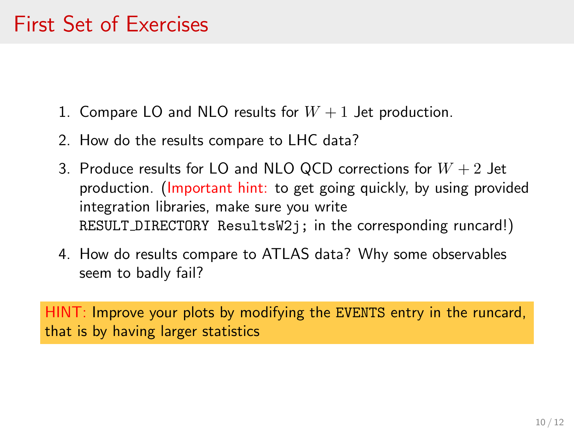## First Set of Exercises

- 1. Compare LO and NLO results for  $W + 1$  Jet production.
- 2. How do the results compare to LHC data?
- 3. Produce results for LO and NLO QCD corrections for  $W + 2$  Jet production. (Important hint: to get going quickly, by using provided integration libraries, make sure you write RESULT DIRECTORY ResultsW2j; in the corresponding runcard!)
- 4. How do results compare to ATLAS data? Why some observables seem to badly fail?

HINT: Improve your plots by modifying the EVENTS entry in the runcard, that is by having larger statistics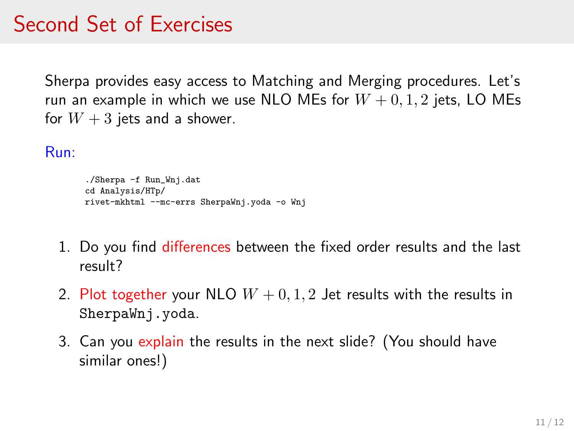## Second Set of Exercises

Sherpa provides easy access to Matching and Merging procedures. Let's run an example in which we use NLO MEs for  $W + 0, 1, 2$  jets, LO MEs for  $W + 3$  jets and a shower.

#### Run:

```
./Sherpa -f Run_Wnj.dat
cd Analysis/HTp/
rivet-mkhtml --mc-errs SherpaWnj.yoda -o Wnj
```
- 1. Do you find differences between the fixed order results and the last result?
- 2. Plot together your NLO  $W + 0, 1, 2$  Jet results with the results in SherpaWnj.yoda.
- 3. Can you explain the results in the next slide? (You should have similar ones!)